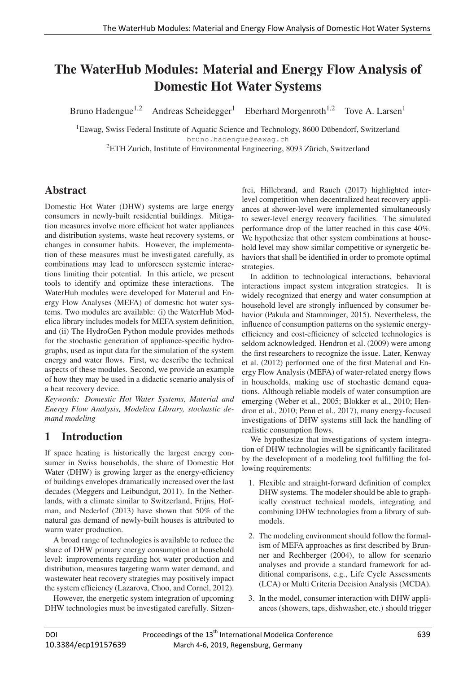# **The WaterHub Modules: Material and Energy Flow Analysis of** Domestic Hot Water Systems

Bruno Hadengue<sup>1,2</sup> Andreas Scheidegger<sup>1</sup> Eberhard Morgenroth<sup>1,2</sup> Tove A. Larsen<sup>1</sup>

<sup>1</sup>Eawag, Swiss Federal Institute of Aquatic Science and Technology, 8600 Dübendorf, Switzerland bruno.hadengue@eawag.ch

<sup>2</sup>ETH Zurich, Institute of Environmental Engineering, 8093 Zürich, Switzerland

# Abstract

Domestic Hot Water (DHW) systems are large energy consumers in newly-built residential buildings. Mitigation measures involve more efficient hot water appliances and distribution systems, waste heat recovery systems, or changes in consumer habits. However, the implementation of these measures must be investigated carefully, as combinations may lead to unforeseen systemic interactions limiting their potential. In this article, we present tools to identify and optimize these interactions. The WaterHub modules were developed for Material and Energy Flow Analyses (MEFA) of domestic hot water systems. Two modules are available: (i) the WaterHub Modelica library includes models for MEFA system definition, and (ii) The HydroGen Python module provides methods for the stochastic generation of appliance-specific hydrographs, used as input data for the simulation of the system energy and water flows. First, we describe the technical aspects of these modules. Second, we provide an example of how they may be used in a didactic scenario analysis of a heat recovery device.

*Keywords: Domestic Hot Water Systems, Material and Energy Flow Analysis, Modelica Library, stochastic demand modeling*

# 1 Introduction

If space heating is historically the largest energy consumer in Swiss households, the share of Domestic Hot Water (DHW) is growing larger as the energy-efficiency of buildings envelopes dramatically increased over the last decades (Meggers and Leibundgut, 2011). In the Netherlands, with a climate similar to Switzerland, Frijns, Hofman, and Nederlof (2013) have shown that 50% of the natural gas demand of newly-built houses is attributed to warm water production.

A broad range of technologies is available to reduce the share of DHW primary energy consumption at household level: improvements regarding hot water production and distribution, measures targeting warm water demand, and wastewater heat recovery strategies may positively impact the system efficiency (Lazarova, Choo, and Cornel, 2012).

However, the energetic system integration of upcoming DHW technologies must be investigated carefully. Sitzenfrei, Hillebrand, and Rauch (2017) highlighted interlevel competition when decentralized heat recovery appliances at shower-level were implemented simultaneously to sewer-level energy recovery facilities. The simulated performance drop of the latter reached in this case 40%. We hypothesize that other system combinations at household level may show similar competitive or synergetic behaviors that shall be identified in order to promote optimal strategies.

In addition to technological interactions, behavioral interactions impact system integration strategies. It is widely recognized that energy and water consumption at household level are strongly influenced by consumer behavior (Pakula and Stamminger, 2015). Nevertheless, the influence of consumption patterns on the systemic energyefficiency and cost-efficiency of selected technologies is seldom acknowledged. Hendron et al. (2009) were among the first researchers to recognize the issue. Later, Kenway et al. (2012) performed one of the first Material and Energy Flow Analysis (MEFA) of water-related energy flows in households, making use of stochastic demand equations. Although reliable models of water consumption are emerging (Weber et al., 2005; Blokker et al., 2010; Hendron et al., 2010; Penn et al., 2017), many energy-focused investigations of DHW systems still lack the handling of realistic consumption flows.

We hypothesize that investigations of system integration of DHW technologies will be significantly facilitated by the development of a modeling tool fulfilling the following requirements:

- 1. Flexible and straight-forward definition of complex DHW systems. The modeler should be able to graphically construct technical models, integrating and combining DHW technologies from a library of submodels.
- 2. The modeling environment should follow the formalism of MEFA approaches as first described by Brunner and Rechberger (2004), to allow for scenario analyses and provide a standard framework for additional comparisons, e.g., Life Cycle Assessments (LCA) or Multi Criteria Decision Analysis (MCDA).
- 3. In the model, consumer interaction with DHW appliances (showers, taps, dishwasher, etc.) should trigger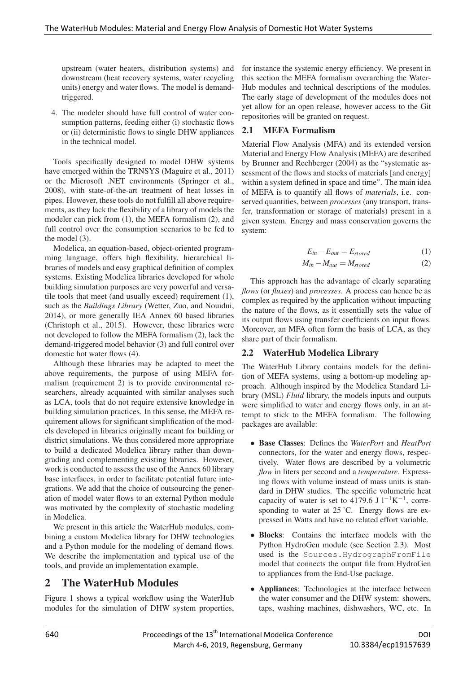upstream (water heaters, distribution systems) and downstream (heat recovery systems, water recycling units) energy and water flows. The model is demandtriggered.

4. The modeler should have full control of water consumption patterns, feeding either (i) stochastic flows or (ii) deterministic flows to single DHW appliances in the technical model.

Tools specifically designed to model DHW systems have emerged within the TRNSYS (Maguire et al., 2011) or the Microsoft .NET environments (Springer et al., 2008), with state-of-the-art treatment of heat losses in pipes. However, these tools do not fulfill all above requirements, as they lack the flexibility of a library of models the modeler can pick from (1), the MEFA formalism (2), and full control over the consumption scenarios to be fed to the model (3).

Modelica, an equation-based, object-oriented programming language, offers high flexibility, hierarchical libraries of models and easy graphical definition of complex systems. Existing Modelica libraries developed for whole building simulation purposes are very powerful and versatile tools that meet (and usually exceed) requirement (1), such as the *Buildings Library* (Wetter, Zuo, and Nouidui, 2014), or more generally IEA Annex 60 based libraries (Christoph et al., 2015). However, these libraries were not developed to follow the MEFA formalism (2), lack the demand-triggered model behavior (3) and full control over domestic hot water flows (4).

Although these libraries may be adapted to meet the above requirements, the purpose of using MEFA formalism (requirement 2) is to provide environmental researchers, already acquainted with similar analyses such as LCA, tools that do not require extensive knowledge in building simulation practices. In this sense, the MEFA requirement allows for significant simplification of the models developed in libraries originally meant for building or district simulations. We thus considered more appropriate to build a dedicated Modelica library rather than downgrading and complementing existing libraries. However, work is conducted to assess the use of the Annex 60 library base interfaces, in order to facilitate potential future integrations. We add that the choice of outsourcing the generation of model water flows to an external Python module was motivated by the complexity of stochastic modeling in Modelica.

We present in this article the WaterHub modules, combining a custom Modelica library for DHW technologies and a Python module for the modeling of demand flows. We describe the implementation and typical use of the tools, and provide an implementation example.

# 2 The WaterHub Modules

Figure 1 shows a typical workflow using the WaterHub modules for the simulation of DHW system properties, for instance the systemic energy efficiency. We present in this section the MEFA formalism overarching the Water-Hub modules and technical descriptions of the modules. The early stage of development of the modules does not yet allow for an open release, however access to the Git repositories will be granted on request.

### 2.1 MEFA Formalism

Material Flow Analysis (MFA) and its extended version Material and Energy Flow Analysis (MEFA) are described by Brunner and Rechberger (2004) as the "systematic assessment of the flows and stocks of materials [and energy] within a system defined in space and time". The main idea of MEFA is to quantify all flows of *materials*, i.e. conserved quantities, between *processes* (any transport, transfer, transformation or storage of materials) present in a given system. Energy and mass conservation governs the system:

$$
E_{in} - E_{out} = E_{stored} \tag{1}
$$

$$
M_{in} - M_{out} = M_{stored} \tag{2}
$$

This approach has the advantage of clearly separating *flows* (or *fluxes*) and *processes*. A process can hence be as complex as required by the application without impacting the nature of the flows, as it essentially sets the value of its output flows using transfer coefficients on input flows. Moreover, an MFA often form the basis of LCA, as they share part of their formalism.

#### 2.2 WaterHub Modelica Library

The WaterHub Library contains models for the definition of MEFA systems, using a bottom-up modeling approach. Although inspired by the Modelica Standard Library (MSL) *Fluid* library, the models inputs and outputs were simplified to water and energy flows only, in an attempt to stick to the MEFA formalism. The following packages are available:

- Base Classes: Defines the *WaterPort* and *HeatPort* connectors, for the water and energy flows, respectively. Water flows are described by a volumetric *flow* in liters per second and a *temperature*. Expressing flows with volume instead of mass units is standard in DHW studies. The specific volumetric heat capacity of water is set to 4179.6 J  $l^{-1}K^{-1}$ , corresponding to water at  $25^{\circ}$ C. Energy flows are expressed in Watts and have no related effort variable.
- Blocks: Contains the interface models with the Python HydroGen module (see Section 2.3). Most used is the Sources.HydrographFromFile model that connects the output file from HydroGen to appliances from the End-Use package.
- Appliances: Technologies at the interface between the water consumer and the DHW system: showers, taps, washing machines, dishwashers, WC, etc. In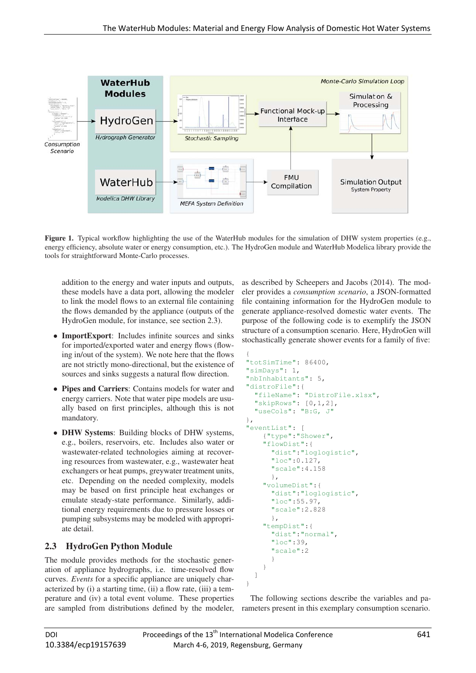

Figure 1. Typical workflow highlighting the use of the WaterHub modules for the simulation of DHW system properties (e.g., energy efficiency, absolute water or energy consumption, etc.). The HydroGen module and WaterHub Modelica library provide the tools for straightforward Monte-Carlo processes.

addition to the energy and water inputs and outputs, these models have a data port, allowing the modeler to link the model flows to an external file containing the flows demanded by the appliance (outputs of the HydroGen module, for instance, see section 2.3).

- ImportExport: Includes infinite sources and sinks for imported/exported water and energy flows (flowing in/out of the system). We note here that the flows are not strictly mono-directional, but the existence of sources and sinks suggests a natural flow direction.
- Pipes and Carriers: Contains models for water and energy carriers. Note that water pipe models are usually based on first principles, although this is not mandatory.
- DHW Systems: Building blocks of DHW systems, e.g., boilers, reservoirs, etc. Includes also water or wastewater-related technologies aiming at recovering resources from wastewater, e.g., wastewater heat exchangers or heat pumps, greywater treatment units, etc. Depending on the needed complexity, models may be based on first principle heat exchanges or emulate steady-state performance. Similarly, additional energy requirements due to pressure losses or pumping subsystems may be modeled with appropriate detail.

### 2.3 HydroGen Python Module

The module provides methods for the stochastic generation of appliance hydrographs, i.e. time-resolved flow curves. *Events* for a specific appliance are uniquely characterized by (i) a starting time, (ii) a flow rate, (iii) a temperature and (iv) a total event volume. These properties are sampled from distributions defined by the modeler, as described by Scheepers and Jacobs (2014). The modeler provides a *consumption scenario*, a JSON-formatted file containing information for the HydroGen module to generate appliance-resolved domestic water events. The purpose of the following code is to exemplify the JSON structure of a consumption scenario. Here, HydroGen will stochastically generate shower events for a family of five:

```
{
"totSimTime": 86400,
"simDays": 1,
"nbInhabitants": 5,
"distroFile":{
  "fileName": "DistroFile.xlsx",
  "skipRows": [0,1,2],
  "useCols": "B:G, J"
},
"eventList": [
    {"type":"Shower",
    "flowDist":{
      "dist":"loglogistic",
      "loc":0.127,
      "scale":4.158
      },
    "volumeDist":{
      "dist":"loglogistic",
      "loc":55.97,
      "scale":2.828
      },
    "tempDist":{
      "dist":"normal",
      "loc":39,
      "scale":2
      }
    }
  ]
}
```
The following sections describe the variables and parameters present in this exemplary consumption scenario.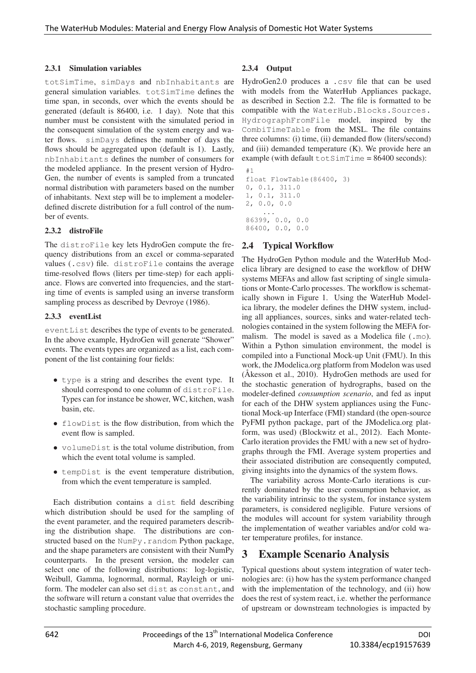#### 2.3.1 Simulation variables

totSimTime, simDays and nbInhabitants are general simulation variables. totSimTime defines the time span, in seconds, over which the events should be generated (default is 86400, i.e. 1 day). Note that this number must be consistent with the simulated period in the consequent simulation of the system energy and water flows. simDays defines the number of days the flows should be aggregated upon (default is 1). Lastly, nbInhabitants defines the number of consumers for the modeled appliance. In the present version of Hydro-Gen, the number of events is sampled from a truncated normal distribution with parameters based on the number of inhabitants. Next step will be to implement a modelerdefined discrete distribution for a full control of the number of events.

#### 2.3.2 distroFile

The distroFile key lets HydroGen compute the frequency distributions from an excel or comma-separated values (.csv) file. distroFile contains the average time-resolved flows (liters per time-step) for each appliance. Flows are converted into frequencies, and the starting time of events is sampled using an inverse transform sampling process as described by Devroye (1986).

#### 2.3.3 eventList

eventList describes the type of events to be generated. In the above example, HydroGen will generate "Shower" events. The events types are organized as a list, each component of the list containing four fields:

- type is a string and describes the event type. It should correspond to one column of distroFile. Types can for instance be shower, WC, kitchen, wash basin, etc.
- flowDist is the flow distribution, from which the event flow is sampled.
- volumeDist is the total volume distribution, from which the event total volume is sampled.
- tempDist is the event temperature distribution, from which the event temperature is sampled.

Each distribution contains a dist field describing which distribution should be used for the sampling of the event parameter, and the required parameters describing the distribution shape. The distributions are constructed based on the NumPy.random Python package, and the shape parameters are consistent with their NumPy counterparts. In the present version, the modeler can select one of the following distributions: log-logistic, Weibull, Gamma, lognormal, normal, Rayleigh or uniform. The modeler can also set dist as constant, and the software will return a constant value that overrides the stochastic sampling procedure.

#### 2.3.4 Output

HydroGen2.0 produces a .csv file that can be used with models from the WaterHub Appliances package, as described in Section 2.2. The file is formatted to be compatible with the WaterHub.Blocks.Sources. HydrographFromFile model, inspired by the CombiTimeTable from the MSL. The file contains three columns: (i) time, (ii) demanded flow (liters/second) and (iii) demanded temperature (K). We provide here an example (with default  $\text{totSimTime} = 86400$  seconds):

```
#1
float FlowTable(86400, 3)
0, 0.1, 311.0
1, 0.1, 311.0
2, 0.0, 0.0
    ...
86399, 0.0, 0.0
86400, 0.0, 0.0
```
### 2.4 Typical Workflow

The HydroGen Python module and the WaterHub Modelica library are designed to ease the workflow of DHW systems MEFAs and allow fast scripting of single simulations or Monte-Carlo processes. The workflow is schematically shown in Figure 1. Using the WaterHub Modelica library, the modeler defines the DHW system, including all appliances, sources, sinks and water-related technologies contained in the system following the MEFA formalism. The model is saved as a Modelica file (.mo). Within a Python simulation environment, the model is compiled into a Functional Mock-up Unit (FMU). In this work, the JModelica.org platform from Modelon was used (Åkesson et al., 2010). HydroGen methods are used for the stochastic generation of hydrographs, based on the modeler-defined *consumption scenario*, and fed as input for each of the DHW system appliances using the Functional Mock-up Interface (FMI) standard (the open-source PyFMI python package, part of the JModelica.org platform, was used) (Blockwitz et al., 2012). Each Monte-Carlo iteration provides the FMU with a new set of hydrographs through the FMI. Average system properties and their associated distribution are consequently computed, giving insights into the dynamics of the system flows.

The variability across Monte-Carlo iterations is currently dominated by the user consumption behavior, as the variability intrinsic to the system, for instance system parameters, is considered negligible. Future versions of the modules will account for system variability through the implementation of weather variables and/or cold water temperature profiles, for instance.

## 3 Example Scenario Analysis

Typical questions about system integration of water technologies are: (i) how has the system performance changed with the implementation of the technology, and (ii) how does the rest of system react, i.e. whether the performance of upstream or downstream technologies is impacted by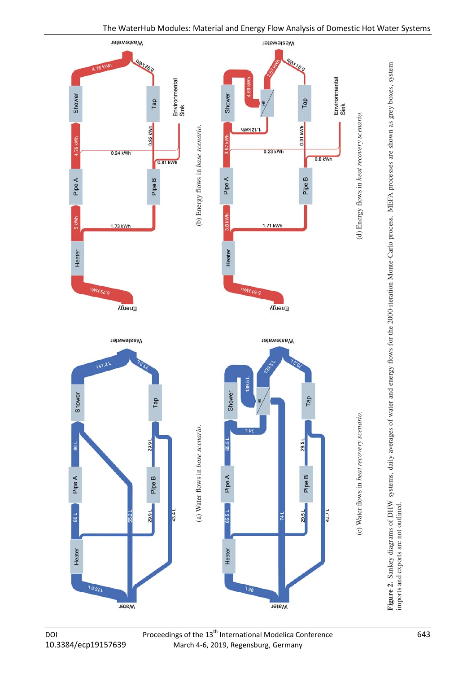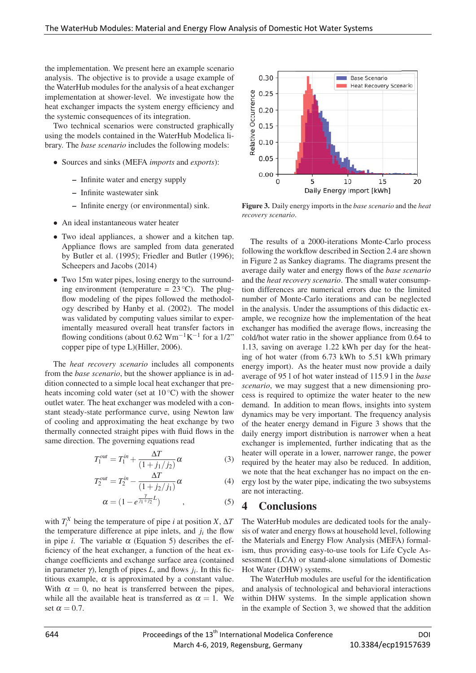the implementation. We present here an example scenario analysis. The objective is to provide a usage example of the WaterHub modules for the analysis of a heat exchanger implementation at shower-level. We investigate how the heat exchanger impacts the system energy efficiency and the systemic consequences of its integration.

Two technical scenarios were constructed graphically using the models contained in the WaterHub Modelica library. The *base scenario* includes the following models:

- Sources and sinks (MEFA *imports* and *exports*):
	- Infinite water and energy supply
	- Infinite wastewater sink
	- Infinite energy (or environmental) sink.
- An ideal instantaneous water heater
- Two ideal appliances, a shower and a kitchen tap. Appliance flows are sampled from data generated by Butler et al. (1995); Friedler and Butler (1996); Scheepers and Jacobs (2014)
- Two 15m water pipes, losing energy to the surrounding environment (temperature =  $23^{\circ}$ C). The plugflow modeling of the pipes followed the methodology described by Hanby et al. (2002). The model was validated by computing values similar to experimentally measured overall heat transfer factors in flowing conditions (about 0.62 Wm<sup>-1</sup>K<sup>-1</sup> for a 1/2" copper pipe of type L)(Hiller, 2006).

The *heat recovery scenario* includes all components from the *base scenario*, but the shower appliance is in addition connected to a simple local heat exchanger that preheats incoming cold water (set at  $10^{\circ}$ C) with the shower outlet water. The heat exchanger was modeled with a constant steady-state performance curve, using Newton law of cooling and approximating the heat exchange by two thermally connected straight pipes with fluid flows in the same direction. The governing equations read

$$
T_1^{out} = T_1^{in} + \frac{\Delta T}{(1 + j_1/j_2)} \alpha
$$
 (3)

$$
T_2^{out} = T_2^{in} - \frac{\Delta T}{(1 + j_2/j_1)} \alpha
$$
 (4)

$$
\alpha = (1 - e^{\frac{\gamma}{j_1 + j_2}L}) \qquad , \qquad (5)
$$

with  $T_i^X$  being the temperature of pipe *i* at position *X*,  $\Delta T$ the temperature difference at pipe inlets, and  $j_i$  the flow in pipe *i*. The variable  $\alpha$  (Equation 5) describes the efficiency of the heat exchanger, a function of the heat exchange coefficients and exchange surface area (contained in parameter  $\gamma$ ), length of pipes *L*, and flows  $j_i$ . In this fictitious example,  $\alpha$  is approximated by a constant value. With  $\alpha = 0$ , no heat is transferred between the pipes, while all the available heat is transferred as  $\alpha = 1$ . We set  $\alpha = 0.7$ .



Figure 3. Daily energy imports in the *base scenario* and the *heat recovery scenario*.

The results of a 2000-iterations Monte-Carlo process following the workflow described in Section 2.4 are shown in Figure 2 as Sankey diagrams. The diagrams present the average daily water and energy flows of the *base scenario* and the *heat recovery scenario*. The small water consumption differences are numerical errors due to the limited number of Monte-Carlo iterations and can be neglected in the analysis. Under the assumptions of this didactic example, we recognize how the implementation of the heat exchanger has modified the average flows, increasing the cold/hot water ratio in the shower appliance from 0.64 to 1.13, saving on average 1.22 kWh per day for the heating of hot water (from 6.73 kWh to 5.51 kWh primary energy import). As the heater must now provide a daily average of 95 l of hot water instead of 115.9 l in the *base scenario*, we may suggest that a new dimensioning process is required to optimize the water heater to the new demand. In addition to mean flows, insights into system dynamics may be very important. The frequency analysis of the heater energy demand in Figure 3 shows that the daily energy import distribution is narrower when a heat exchanger is implemented, further indicating that as the heater will operate in a lower, narrower range, the power required by the heater may also be reduced. In addition, we note that the heat exchanger has no impact on the energy lost by the water pipe, indicating the two subsystems are not interacting.

### 4 Conclusions

The WaterHub modules are dedicated tools for the analysis of water and energy flows at household level, following the Materials and Energy Flow Analysis (MEFA) formalism, thus providing easy-to-use tools for Life Cycle Assessment (LCA) or stand-alone simulations of Domestic Hot Water (DHW) systems.

The WaterHub modules are useful for the identification and analysis of technological and behavioral interactions within DHW systems. In the simple application shown in the example of Section 3, we showed that the addition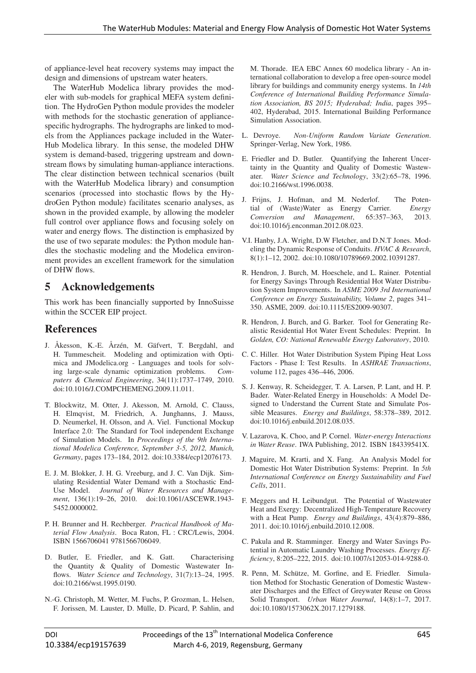of appliance-level heat recovery systems may impact the design and dimensions of upstream water heaters.

The WaterHub Modelica library provides the modeler with sub-models for graphical MEFA system definition. The HydroGen Python module provides the modeler with methods for the stochastic generation of appliancespecific hydrographs. The hydrographs are linked to models from the Appliances package included in the Water-Hub Modelica library. In this sense, the modeled DHW system is demand-based, triggering upstream and downstream flows by simulating human-appliance interactions. The clear distinction between technical scenarios (built with the WaterHub Modelica library) and consumption scenarios (processed into stochastic flows by the HydroGen Python module) facilitates scenario analyses, as shown in the provided example, by allowing the modeler full control over appliance flows and focusing solely on water and energy flows. The distinction is emphasized by the use of two separate modules: the Python module handles the stochastic modeling and the Modelica environment provides an excellent framework for the simulation of DHW flows.

# 5 Acknowledgements

This work has been financially supported by InnoSuisse within the SCCER EIP project.

### References

- J. Åkesson, K.-E. Årzén, M. Gäfvert, T. Bergdahl, and H. Tummescheit. Modeling and optimization with Optimica and JModelica.org - Languages and tools for solving large-scale dynamic optimization problems. *Computers & Chemical Engineering*, 34(11):1737–1749, 2010. doi:10.1016/J.COMPCHEMENG.2009.11.011.
- T. Blockwitz, M. Otter, J. Akesson, M. Arnold, C. Clauss, H. Elmqvist, M. Friedrich, A. Junghanns, J. Mauss, D. Neumerkel, H. Olsson, and A. Viel. Functional Mockup Interface 2.0: The Standard for Tool independent Exchange of Simulation Models. In *Proceedings of the 9th International Modelica Conference, September 3-5, 2012, Munich, Germany*, pages 173–184, 2012. doi:10.3384/ecp12076173.
- E. J. M. Blokker, J. H. G. Vreeburg, and J. C. Van Dijk. Simulating Residential Water Demand with a Stochastic End-Use Model. *Journal of Water Resources and Management*, 136(1):19–26, 2010. doi:10.1061/ASCEWR.1943- 5452.0000002.
- P. H. Brunner and H. Rechberger. *Practical Handbook of Material Flow Analysis*. Boca Raton, FL : CRC/Lewis, 2004. ISBN 1566706041 9781566706049.
- D. Butler, E. Friedler, and K. Gatt. Characterising the Quantity & Quality of Domestic Wastewater Inflows. *Water Science and Technology*, 31(7):13–24, 1995. doi:10.2166/wst.1995.0190.
- N.-G. Christoph, M. Wetter, M. Fuchs, P. Grozman, L. Helsen, F. Jorissen, M. Lauster, D. Mülle, D. Picard, P. Sahlin, and

M. Thorade. IEA EBC Annex 60 modelica library - An international collaboration to develop a free open-source model library for buildings and community energy systems. In *14th Conference of International Building Performance Simulation Association, BS 2015; Hyderabad; India*, pages 395– 402, Hyderabad, 2015. International Building Performance Simulation Association.

- L. Devroye. *Non-Uniform Random Variate Generation*. Springer-Verlag, New York, 1986.
- E. Friedler and D. Butler. Quantifying the Inherent Uncertainty in the Quantity and Quality of Domestic Wastewater. *Water Science and Technology*, 33(2):65–78, 1996. doi:10.2166/wst.1996.0038.
- J. Frijns, J. Hofman, and M. Nederlof. The Potential of (Waste)Water as Energy Carrier. *Energy Conversion and Management*, 65:357–363, 2013. doi:10.1016/j.enconman.2012.08.023.
- V.I. Hanby, J.A. Wright, D.W Fletcher, and D.N.T Jones. Modeling the Dynamic Response of Conduits. *HVAC & Research*, 8(1):1–12, 2002. doi:10.1080/10789669.2002.10391287.
- R. Hendron, J. Burch, M. Hoeschele, and L. Rainer. Potential for Energy Savings Through Residential Hot Water Distribution System Improvements. In *ASME 2009 3rd International Conference on Energy Sustainability, Volume 2*, pages 341– 350. ASME, 2009. doi:10.1115/ES2009-90307.
- R. Hendron, J. Burch, and G. Barker. Tool for Generating Realistic Residential Hot Water Event Schedules: Preprint. In *Golden, CO: National Renewable Energy Laboratory*, 2010.
- C. C. Hiller. Hot Water Distribution System Piping Heat Loss Factors - Phase I: Test Results. In *ASHRAE Transactions*, volume 112, pages 436–446, 2006.
- S. J. Kenway, R. Scheidegger, T. A. Larsen, P. Lant, and H. P. Bader. Water-Related Energy in Households: A Model Designed to Understand the Current State and Simulate Possible Measures. *Energy and Buildings*, 58:378–389, 2012. doi:10.1016/j.enbuild.2012.08.035.
- V. Lazarova, K. Choo, and P. Cornel. *Water-energy Interactions in Water Reuse*. IWA Publishing, 2012. ISBN 184339541X.
- J. Maguire, M. Krarti, and X. Fang. An Analysis Model for Domestic Hot Water Distribution Systems: Preprint. In *5th International Conference on Energy Sustainability and Fuel Cells*, 2011.
- F. Meggers and H. Leibundgut. The Potential of Wastewater Heat and Exergy: Decentralized High-Temperature Recovery with a Heat Pump. *Energy and Buildings*, 43(4):879–886, 2011. doi:10.1016/j.enbuild.2010.12.008.
- C. Pakula and R. Stamminger. Energy and Water Savings Potential in Automatic Laundry Washing Processes. *Energy Efficiency*, 8:205–222, 2015. doi:10.1007/s12053-014-9288-0.
- R. Penn, M. Schütze, M. Gorfine, and E. Friedler. Simulation Method for Stochastic Generation of Domestic Wastewater Discharges and the Effect of Greywater Reuse on Gross Solid Transport. *Urban Water Journal*, 14(8):1–7, 2017. doi:10.1080/1573062X.2017.1279188.